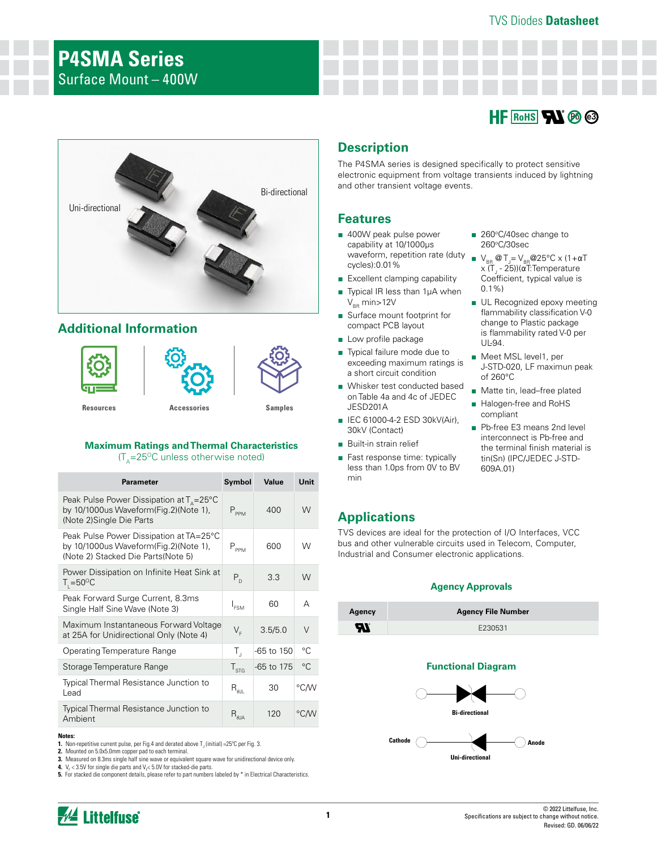# **HF** RoHS **AV Pb** e3



## **Additional Information**



#### **Maximum Ratings and Thermal Characteristics**

 $(T_{\text{A}}=25^{\circ}C$  unless otherwise noted)

| <b>Parameter</b>                                                                                                                                     | Symbol                                             | Value      | Unit        |
|------------------------------------------------------------------------------------------------------------------------------------------------------|----------------------------------------------------|------------|-------------|
| Peak Pulse Power Dissipation at $T_{\text{\tiny A}}\text{=}25^{\circ}\text{C}$<br>by 10/1000us Waveform(Fig.2)(Note 1),<br>(Note 2) Single Die Parts | $P_{\text{ppM}}$                                   | 400        | W           |
| Peak Pulse Power Dissipation at TA=25°C<br>by 10/1000us Waveform(Fig.2)(Note 1),<br>(Note 2) Stacked Die Parts(Note 5)                               | $P_{PPM}$                                          | 600        | W           |
| Power Dissipation on Infinite Heat Sink at<br>$T_{\text{I}} = 50^{\circ}C$                                                                           | $P_{D}$                                            | 3.3        | W           |
| Peak Forward Surge Current, 8.3ms<br>Single Half Sine Wave (Note 3)                                                                                  | I <sub>ESM</sub>                                   | 60         | А           |
| Maximum Instantaneous Forward Voltage<br>at 25A for Unidirectional Only (Note 4)                                                                     | $V_{F}$                                            | 3.5/5.0    | V           |
| <b>Operating Temperature Range</b>                                                                                                                   | $T_{\rm J}$                                        | -65 to 150 | $^{\circ}C$ |
| Storage Temperature Range                                                                                                                            | $T_{STG}$                                          | -65 to 175 | $^{\circ}C$ |
| Typical Thermal Resistance Junction to<br>Lead                                                                                                       | $\mathsf{R}_{\scriptscriptstyle\theta\mathsf{JL}}$ | 30         | °C∕W        |
| Typical Thermal Resistance Junction to<br>Ambient                                                                                                    | $\mathsf{R}_{\text{theta}}$                        | 120        | °CM         |

#### **Notes:**

- **1.** Non-repetitive current pulse, per Fig.4 and derated above  $T_{\text{J}}$  (initial) =25°C per Fig. 3.
- **2.** Mounted on 5.0x5.0mm copper pad to each terminal.
- **3.** Measured on 8.3ms single half sine wave or equivalent square wave for unidirectional device only.

**4.**  $V_F$  < 3.5V for single die parts and  $V_F$ < 5.0V for stacked-die parts. **5.** For stacked die component details, please refer to part numbers labeled by \* in Electrical Characteristics.

## **Description**

The P4SMA series is designed specifically to protect sensitive electronic equipment from voltage transients induced by lightning and other transient voltage events.

## **Features**

- 400W peak pulse power capability at 10/1000µs waveform, repetition rate (duty cycles):0.01%
- Excellent clamping capability
- Typical IR less than 1µA when  $V_{BR}$  min $>$ 12V
- Surface mount footprint for compact PCB layout
- Low profile package
- Typical failure mode due to exceeding maximum ratings is a short circuit condition
- Whisker test conducted based on Table 4a and 4c of JEDEC JESD201A
- IEC 61000-4-2 ESD 30kV(Air), 30kV (Contact)
- Built-in strain relief
- Fast response time: typically less than 1.0ps from 0V to BV min

#### ■ 260°C/40sec change to 260°C/30sec

- $\blacksquare$  V<sub>BR</sub> @ T<sub>J</sub>= V<sub>BR</sub> @ 25°C x (1+ α T x (T<sub>J</sub> - 25))(αT:Temperature Coefficient, typical value is 0.1%)
- UL Recognized epoxy meeting flammability classification V-0 change to Plastic package is flammability rated V-0 per UL-94.
- Meet MSL level1, per J-STD-020, LF maximun peak of 260°C
- Matte tin, lead–free plated
- Halogen-free and RoHS compliant
- Pb-free E3 means 2nd level interconnect is Pb-free and the terminal finish material is tin(Sn) (IPC/JEDEC J-STD-609A.01)

## **Applications**

TVS devices are ideal for the protection of I/O Interfaces, VCC bus and other vulnerable circuits used in Telecom, Computer, Industrial and Consumer electronic applications.

#### **Agency Approvals**

| Agency | <b>Agency File Number</b> |
|--------|---------------------------|
| Яľ     | E230531                   |

#### **Functional Diagram**

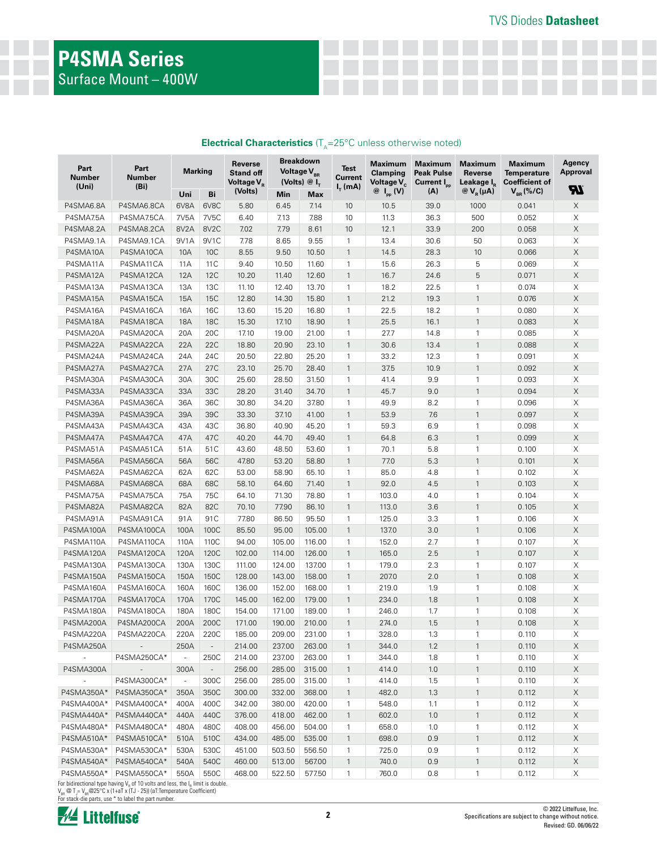# **P4SMA Series** Surface Mount – 400W

| Part<br><b>Number</b><br>(Uni) | Part<br>Number<br>(Bi)                                                       | <b>Marking</b> |                          | Reverse<br><b>Stand off</b><br>Voltage V <sub>p</sub><br>(Volts) |        | <b>Breakdown</b><br>Voltage V <sub>BR</sub><br>(Volts) $@I_{T}$ | <b>Test</b><br><b>Current</b><br>$I_{\tau}$ (mA) | <b>Maximum</b><br><b>Clamping</b><br>Voltage V <sub>c</sub> | <b>Maximum</b><br><b>Peak Pulse</b><br>Current I <sub>pp</sub> | <b>Maximum</b><br>Reverse<br>Leakage I <sub>p</sub> | <b>Maximum</b><br><b>Temperature</b><br><b>Coefficient of</b> | Agency<br><b>Approval</b><br>Яī |
|--------------------------------|------------------------------------------------------------------------------|----------------|--------------------------|------------------------------------------------------------------|--------|-----------------------------------------------------------------|--------------------------------------------------|-------------------------------------------------------------|----------------------------------------------------------------|-----------------------------------------------------|---------------------------------------------------------------|---------------------------------|
|                                |                                                                              | Uni            | Bi                       |                                                                  | Min    | Max                                                             |                                                  | $\circledcirc$ I <sub>pp</sub> (V) <sup>o</sup>             | (A)                                                            | $\mathcal{O}(V_{R}(\mu A))$                         | $V_{BR}$ (%/C)                                                |                                 |
| P4SMA6.8A                      | P4SMA6.8CA                                                                   | 6V8A           | 6V8C                     | 5.80                                                             | 6.45   | 7.14                                                            | 10                                               | 10.5                                                        | 39.0                                                           | 1000                                                | 0.041                                                         | $\mathsf X$                     |
| P4SMA7.5A                      | P4SMA7.5CA                                                                   | 7V5A           | 7V5C                     | 6.40                                                             | 7.13   | 7.88                                                            | 10                                               | 11.3                                                        | 36.3                                                           | 500                                                 | 0.052                                                         | $\boldsymbol{\times}$           |
| P4SMA8.2A                      | P4SMA8.2CA                                                                   | 8V2A           | 8V <sub>2</sub> C        | 7.02                                                             | 7.79   | 8.61                                                            | 10                                               | 12.1                                                        | 33.9                                                           | 200                                                 | 0.058                                                         | Χ                               |
| P4SMA9.1A                      | P4SMA9.1CA                                                                   | 9V1A           | 9V1C                     | 7.78                                                             | 8.65   | 9.55                                                            | $\mathbf{1}$                                     | 13.4                                                        | 30.6                                                           | 50                                                  | 0.063                                                         | $\boldsymbol{\times}$           |
| P4SMA10A                       | P4SMA10CA                                                                    | 10A            | 10C                      | 8.55                                                             | 9.50   | 10.50                                                           | $\mathbf{1}$                                     | 14.5                                                        | 28.3                                                           | 10                                                  | 0.066                                                         | $\mathsf X$                     |
| P4SMA11A                       | P4SMA11CA                                                                    | 11A            | 11 C                     | 9.40                                                             | 10.50  | 11.60                                                           | $\mathbf{1}$                                     | 15.6                                                        | 26.3                                                           | 5                                                   | 0.069                                                         | $\mathsf X$                     |
| P4SMA12A                       | P4SMA12CA                                                                    | <b>12A</b>     | <b>12C</b>               | 10.20                                                            | 11.40  | 12.60                                                           | $\mathbf{1}$                                     | 16.7                                                        | 24.6                                                           | 5                                                   | 0.071                                                         | $\mathsf X$                     |
| P4SMA13A                       | P4SMA13CA                                                                    | 13A            | 13C                      | 11.10                                                            | 12.40  | 13.70                                                           | $\mathbf{1}$                                     | 18.2                                                        | 22.5                                                           | 1                                                   | 0.074                                                         | X                               |
| P4SMA15A                       | P4SMA15CA                                                                    | 15A            | <b>15C</b>               | 12.80                                                            | 14.30  | 15.80                                                           | $\mathbf{1}$                                     | 21.2                                                        | 19.3                                                           | $\mathbf{1}$                                        | 0.076                                                         | $\mathsf X$                     |
| P4SMA16A                       | P4SMA16CA                                                                    | 16A            | 16C                      | 13.60                                                            | 15.20  | 16.80                                                           | $\mathbf{1}$                                     | 22.5                                                        | 18.2                                                           | 1                                                   | 0.080                                                         | Χ                               |
| P4SMA18A                       | P4SMA18CA                                                                    | <b>18A</b>     | <b>18C</b>               | 15.30                                                            | 17.10  | 18.90                                                           | $\mathbf{1}$                                     | 25.5                                                        | 16.1                                                           | 1                                                   | 0.083                                                         | $\mathsf X$                     |
| P4SMA20A                       | P4SMA20CA                                                                    | 20A            | 20C                      | 17.10                                                            | 19.00  | 21.00                                                           | $\mathbf{1}$                                     | 27.7                                                        | 14.8                                                           | $\mathbf{1}$                                        | 0.085                                                         | Χ                               |
| P4SMA22A                       | P4SMA22CA                                                                    | 22A            | 22C                      | 18.80                                                            | 20.90  | 23.10                                                           | $\mathbf{1}$                                     | 30.6                                                        | 13.4                                                           | $\mathbf{1}$                                        | 0.088                                                         | Χ                               |
| P4SMA24A                       | P4SMA24CA                                                                    | 24A            | 24C                      | 20.50                                                            | 22.80  | 25.20                                                           | $\mathbf{1}$                                     | 33.2                                                        | 12.3                                                           | $\mathbf{1}$                                        | 0.091                                                         | $\boldsymbol{\times}$           |
| P4SMA27A                       | P4SMA27CA                                                                    | 27A            | 27C                      | 23.10                                                            | 25.70  | 28.40                                                           | $\mathbf{1}$                                     | 37.5                                                        | 10.9                                                           | $\mathbf{1}$                                        | 0.092                                                         | $\mathsf X$                     |
| P4SMA30A                       | P4SMA30CA                                                                    | 30A            | 30C                      | 25.60                                                            | 28.50  | 31.50                                                           | $\mathbf{1}$                                     | 41.4                                                        | 9.9                                                            | $\mathbf{1}$                                        | 0.093                                                         | $\mathsf X$                     |
| P4SMA33A                       | P4SMA33CA                                                                    | 33A            | 33C                      | 28.20                                                            | 31.40  | 34.70                                                           | $\mathbf{1}$                                     | 45.7                                                        | 9.0                                                            | 1                                                   | 0.094                                                         | $\mathsf X$                     |
| P4SMA36A                       | P4SMA36CA                                                                    | 36A            | 36C                      | 30.80                                                            | 34.20  | 37.80                                                           | $\mathbf{1}$                                     | 49.9                                                        | 8.2                                                            | $\mathbf{1}$                                        | 0.096                                                         | X                               |
| P4SMA39A                       | P4SMA39CA                                                                    | 39A            | 39C                      | 33.30                                                            | 37.10  | 41.00                                                           | $\mathbf{1}$                                     | 53.9                                                        | 7.6                                                            | 1                                                   | 0.097                                                         | $\mathsf X$                     |
| P4SMA43A                       | P4SMA43CA                                                                    | 43A            | 43C                      | 36.80                                                            | 40.90  | 45.20                                                           | $\mathbf{1}$                                     | 59.3                                                        | 6.9                                                            | 1                                                   | 0.098                                                         | X                               |
| P4SMA47A                       | P4SMA47CA                                                                    | 47A            | 47C                      | 40.20                                                            | 44.70  | 49.40                                                           | $\mathbf{1}$                                     | 64.8                                                        | 6.3                                                            | $\mathbf{1}$                                        | 0.099                                                         | $\mathsf X$                     |
| P4SMA51A                       | P4SMA51CA                                                                    | 51A            | 51C                      | 43.60                                                            | 48.50  | 53.60                                                           | $\mathbf{1}$                                     | 70.1                                                        | 5.8                                                            | $\mathbf{1}$                                        | 0.100                                                         | $\times$                        |
| P4SMA56A                       | P4SMA56CA                                                                    | 56A            | 56C                      | 47.80                                                            | 53.20  | 58.80                                                           | $\mathbf{1}$                                     | 77.0                                                        | 5.3                                                            | $\mathbf{1}$                                        | 0.101                                                         | $\mathsf X$                     |
| P4SMA62A                       | P4SMA62CA                                                                    | 62A            | 62C                      | 53.00                                                            | 58.90  | 65.10                                                           | $\mathbf{1}$                                     | 85.0                                                        | 4.8                                                            | 1                                                   | 0.102                                                         | $\times$                        |
| P4SMA68A                       | P4SMA68CA                                                                    | 68A            | 68C                      | 58.10                                                            | 64.60  | 71.40                                                           | $\mathbf{1}$                                     | 92.0                                                        | 4.5                                                            | $\mathbf{1}$                                        | 0.103                                                         | $\mathsf X$                     |
| P4SMA75A                       | P4SMA75CA                                                                    | 75A            | 75C                      | 64.10                                                            | 71.30  | 78.80                                                           | $\mathbf{1}$                                     | 103.0                                                       | 4.0                                                            | $\mathbf{1}$                                        | 0.104                                                         | $\mathsf X$                     |
| P4SMA82A                       | P4SMA82CA                                                                    | 82A            | 82C                      | 70.10                                                            | 77.90  | 86.10                                                           | $\mathbf{1}$                                     | 113.0                                                       | 3.6                                                            | $\mathbf{1}$                                        | 0.105                                                         | $\mathsf X$                     |
| P4SMA91A                       | P4SMA91CA                                                                    | 91A            | 91C                      | 77.80                                                            | 86.50  | 95.50                                                           | $\mathbf{1}$                                     | 125.0                                                       | 3.3                                                            | $\mathbf{1}$                                        | 0.106                                                         | X                               |
| P4SMA100A                      | P4SMA100CA                                                                   | 100A           | 100C                     | 85.50                                                            | 95.00  | 105.00                                                          | $\mathbf{1}$                                     | 137.0                                                       | 3.0                                                            | $\mathbf{1}$                                        | 0.106                                                         | $\mathsf X$                     |
| P4SMA110A                      | P4SMA110CA                                                                   | 110A           | 110C                     | 94.00                                                            | 105.00 | 116.00                                                          | $\mathbf{1}$                                     | 152.0                                                       | 2.7                                                            | 1                                                   | 0.107                                                         | X                               |
| P4SMA120A                      | P4SMA120CA                                                                   | 120A           | 120C                     | 102.00                                                           | 114.00 | 126.00                                                          | $\mathbf{1}$                                     | 165.0                                                       | 2.5                                                            | $\mathbf{1}$                                        | 0.107                                                         | $\mathsf X$                     |
| P4SMA130A                      | P4SMA130CA                                                                   | 130A           | 130C                     | 111.00                                                           | 124.00 | 137.00                                                          | $\mathbf{1}$                                     | 179.0                                                       | 2.3                                                            | $\mathbf{1}$                                        | 0.107                                                         | Χ                               |
| P4SMA150A                      | P4SMA150CA                                                                   | 150A           | 150C                     | 128.00                                                           | 143.00 | 158.00                                                          | $\mathbf{1}$                                     | 207.0                                                       | 2.0                                                            | $\mathbf{1}$                                        | 0.108                                                         | Χ                               |
| P4SMA160A                      | P4SMA160CA                                                                   | 160A           | 160C                     | 136.00                                                           | 152.00 | 168.00                                                          | $\mathbf{1}$                                     | 219.0                                                       | 1.9                                                            | 1                                                   | 0.108                                                         | $\boldsymbol{\times}$           |
| P4SMA170A                      | P4SMA170CA                                                                   | 170A           | 170C                     | 145.00                                                           | 162.00 | 179.00                                                          | $\mathbf{1}$                                     | 234.0                                                       | 1.8                                                            | $\mathbf{1}$                                        | 0.108                                                         | $\boldsymbol{\times}$           |
| P4SMA180A                      | P4SMA180CA                                                                   | 180A           | 180C                     | 154.00                                                           | 171.00 | 189.00                                                          | $\mathbf{1}$                                     | 246.0                                                       | 1.7                                                            | 1                                                   | 0.108                                                         | Χ                               |
| P4SMA200A                      | P4SMA200CA                                                                   | 200A           | 200C                     | 171.00                                                           | 190.00 | 210.00                                                          | $\mathbf{1}$                                     | 274.0                                                       | 1.5                                                            | $\mathbf{1}$                                        | 0.108                                                         | Χ                               |
| P4SMA220A                      | P4SMA220CA                                                                   | 220A           | 220C                     | 185.00                                                           | 209.00 | 231.00                                                          | $\mathbf{1}$                                     | 328.0                                                       | 1.3                                                            | $\mathbf{1}$                                        | 0.110                                                         | Χ                               |
| P4SMA250A                      | $\sim$                                                                       | 250A           | $\overline{\phantom{a}}$ | 214.00                                                           | 237.00 | 263.00                                                          | $\mathbf{1}$                                     | 344.0                                                       | 1.2                                                            | $\mathbf{1}$                                        | 0.110                                                         | X                               |
| $\sim$                         | P4SMA250CA*                                                                  | $\sim$         | 250C                     | 214.00                                                           | 237.00 | 263.00                                                          | $\mathbf{1}$                                     | 344.0                                                       | 1.8                                                            | 1                                                   | 0.110                                                         | Χ                               |
| P4SMA300A                      | $\sim$                                                                       | 300A           | $\overline{\phantom{a}}$ | 256.00                                                           | 285.00 | 315.00                                                          | $\mathbf{1}$                                     | 414.0                                                       | 1.0                                                            | $\mathbf{1}$                                        | 0.110                                                         | X                               |
| $\sim$                         | P4SMA300CA*                                                                  | $\sim$         | 300C                     | 256.00                                                           | 285.00 | 315.00                                                          | $\mathbf{1}$                                     | 414.0                                                       | 1.5                                                            | 1                                                   | 0.110                                                         | Χ                               |
| P4SMA350A*                     | P4SMA350CA*                                                                  | 350A           | 350C                     | 300.00                                                           | 332.00 | 368.00                                                          | $\mathbf{1}$                                     | 482.0                                                       | 1.3                                                            | 1                                                   | 0.112                                                         | X                               |
| P4SMA400A*                     | P4SMA400CA*                                                                  | 400A           | 400C                     | 342.00                                                           | 380.00 | 420.00                                                          | $\mathbf{1}$                                     | 548.0                                                       | 1.1                                                            | 1                                                   | 0.112                                                         | X                               |
| P4SMA440A*                     | P4SMA440CA*                                                                  | 440A           | 440C                     | 376.00                                                           | 418.00 | 462.00                                                          | $\mathbf{1}$                                     | 602.0                                                       | 1.0                                                            | 1                                                   | 0.112                                                         | X                               |
| P4SMA480A*                     | P4SMA480CA*                                                                  | 480A           | 480C                     | 408.00                                                           | 456.00 | 504.00                                                          | $\mathbf{1}$                                     | 658.0                                                       | 1.0                                                            | 1                                                   | 0.112                                                         | X                               |
| P4SMA510A*                     | P4SMA510CA*                                                                  | 510A           | 510C                     | 434.00                                                           | 485.00 | 535.00                                                          | $\mathbf{1}$                                     | 698.0                                                       | 0.9                                                            | 1                                                   | 0.112                                                         | Χ                               |
| P4SMA530A*                     | P4SMA530CA*                                                                  | 530A           | 530C                     | 451.00                                                           | 503.50 | 556.50                                                          | $\mathbf{1}$                                     | 725.0                                                       | 0.9                                                            | 1                                                   | 0.112                                                         | X                               |
| P4SMA540A*                     | P4SMA540CA*                                                                  | 540A           | 540C                     | 460.00                                                           | 513.00 | 567.00                                                          | $\mathbf{1}$                                     | 740.0                                                       | 0.9                                                            | $\mathbf{1}$                                        | 0.112                                                         | $\mathsf X$                     |
| P4SMA550A*                     | P4SMA550CA*                                                                  | 550A           | 550C                     | 468.00                                                           | 522.50 | 577.50                                                          | $\mathbf{1}$                                     | 760.0                                                       | 0.8                                                            | 1                                                   | 0.112                                                         | X                               |
|                                | For bidiractional type having V, of 10 volte and loss, the U limit is double |                |                          |                                                                  |        |                                                                 |                                                  |                                                             |                                                                |                                                     |                                                               |                                 |

For bidirectional type having V<sub>R</sub> of 10 volts and less, the I<sub>R</sub> limit is double.<br>V<sub>BR</sub> @ T<sub>J</sub>= V<sub>BR</sub>@25°C x (1+aT x (TJ - 25)) (aT:Temperature Coefficient)<br>For stack-die parts, use \* to label the part number.

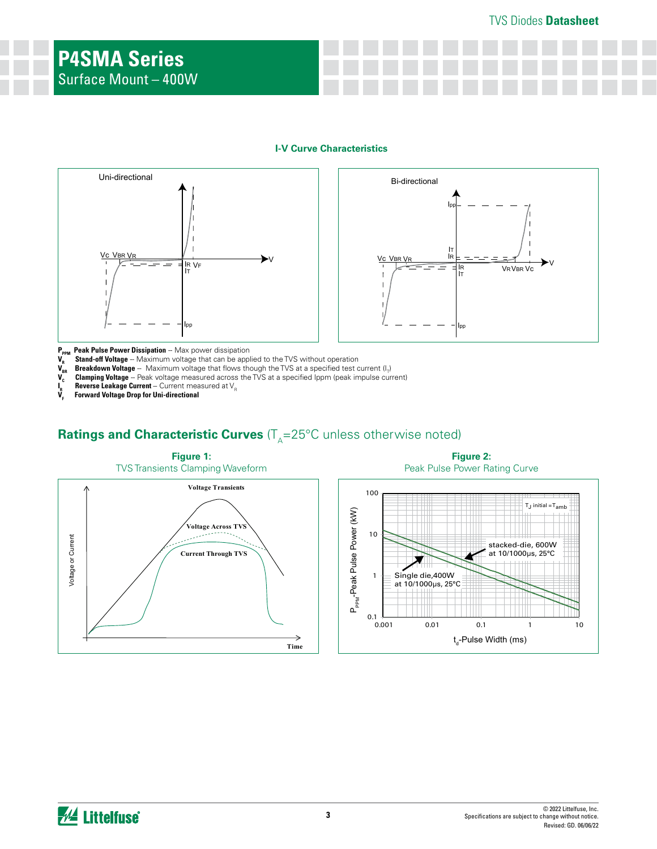### TVS Diodes **Datasheet**

#### **I-V Curve Characteristics**





P<sub>PPM</sub> Peak Pulse Power Dissipation -- Max power dissipation

**V<sub>R</sub>** Stand-off Voltage -- Maximum voltage that can be applied to the TVS without operation **V<sub>BR</sub>** Breakdown Voltage -- Maximum voltage that flows though the TVS at a specified test c<br>**V<sub>C</sub>** Clamping Voltage -- Peak volt **V<sub>BR</sub> Breakdown Voltage** -- Maximum voltage that flows though the TVS at a specified test current (I<sub>T</sub>)

**Clamping Voltage** -- Peak voltage measured across the TVS at a specified Ippm (peak impulse current)

**Reverse Leakage Current** -- Current measured at V<sub>R</sub>

 $\mathbf{I}_{\mathbf{R}}^{\mathbf{R}}$ **VF Forward Voltage Drop for Uni-directional**

## **Ratings and Characteristic Curves** (T<sub>A</sub>=25°C unless otherwise noted)



**Figure 2:** Peak Pulse Power Rating Curve

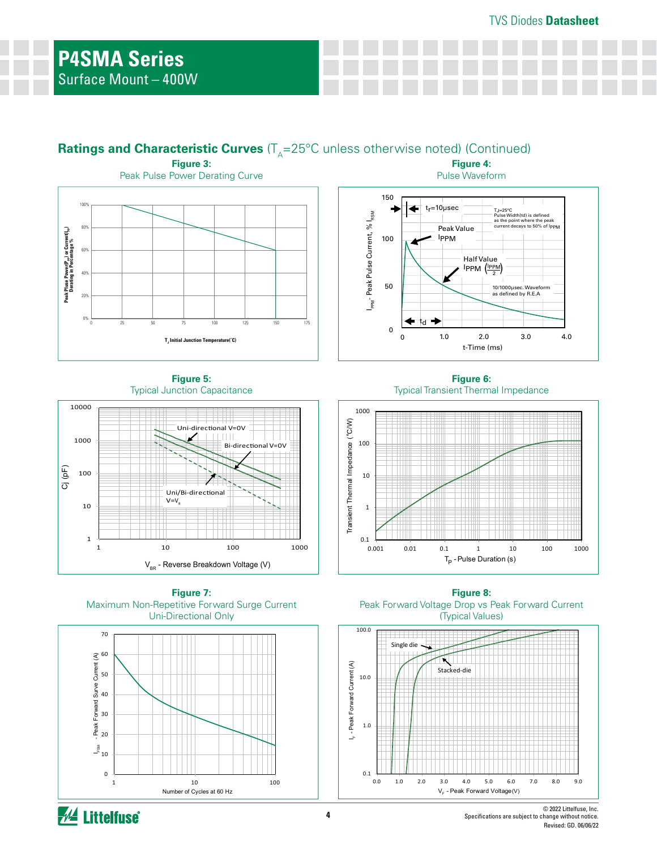## **Ratings and Characteristic Curves** ( $T_A=25^{\circ}$ C unless otherwise noted) (Continued) **Figure 4:**

l<sub>PPM</sub>- Peak Pulse Current, % I<sub>RSM</sub>

50

100

150

 $t_f = 10 \mu sec$ 

Peak Value IPPM

0 0

td



**Figure 5:**  Typical Junction Capacitance







**Figure 6:** Typical Transient Thermal Impedance

t-Time (ms)

 $1$ PPM  $\left(\frac{1_{PPM}}{2}\right)$ 

Half Value

Pulse Waveform

1.0 2.0 3.0 4.0

 $10/1000$ µsec. Wavefo ed by R.E.A

TJ=25°C Pulse Width(td) is defined as the point where the peak current decays to 50% of IPPM



**Figure 8:**  Peak Forward Voltage Drop vs Peak Forward Current (Typical Values)



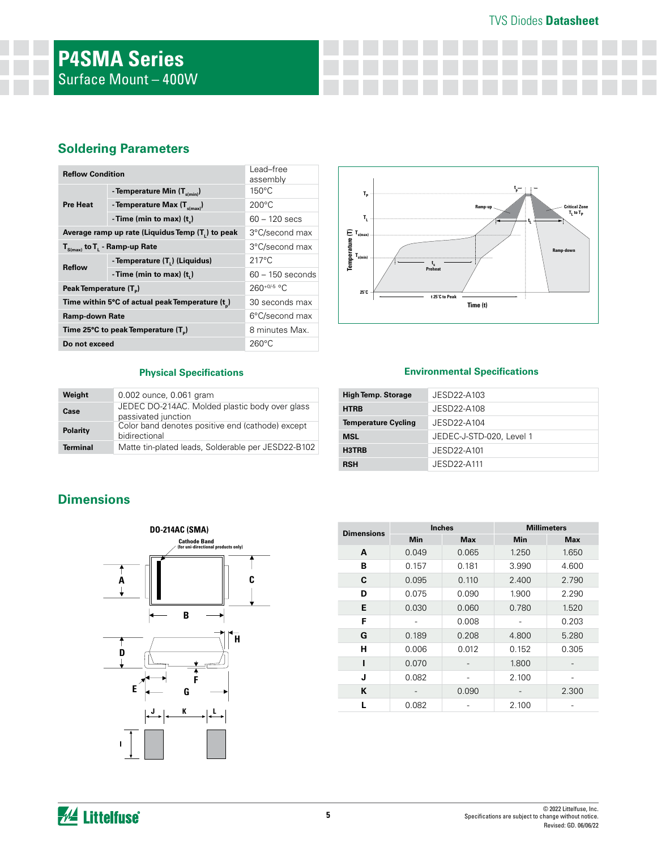## TVS Diodes **Datasheet**

## **Soldering Parameters**

| <b>Reflow Condition</b>                          | Lead-free<br>assembly                      |                    |  |
|--------------------------------------------------|--------------------------------------------|--------------------|--|
|                                                  | - Temperature Min $(T_{s(min)})$           | $150^{\circ}$ C    |  |
| <b>Pre Heat</b>                                  | - Temperature Max $(T_{\text{sum}})$       | $200^{\circ}$ C    |  |
|                                                  | - Time (min to max) $(t_*)$                | $60 - 120$ secs    |  |
| Average ramp up rate (Liquidus Temp (T,) to peak | 3°C/second max                             |                    |  |
| $T_{\text{S(max)}}$ to $T_{L}$ - Ramp-up Rate    | 3°C/second max                             |                    |  |
| <b>Reflow</b>                                    | - Temperature (T <sub>1</sub> ) (Liquidus) | $217^{\circ}$ C    |  |
|                                                  | - Time (min to max) $(t1)$                 | $60 - 150$ seconds |  |
| Peak Temperature (T <sub>n</sub> )               | $260^{+0/5}$ °C                            |                    |  |
| Time within 5°C of actual peak Temperature (t)   | 30 seconds max                             |                    |  |
| Ramp-down Rate                                   | 6°C/second max                             |                    |  |
| Time 25°C to peak Temperature (T <sub>a</sub> )  | 8 minutes Max.                             |                    |  |
| Do not exceed                                    | $260^{\circ}$ C                            |                    |  |



#### **Physical Specifications**

| Weight          | 0.002 ounce, 0.061 gram                                               |
|-----------------|-----------------------------------------------------------------------|
| Case            | JEDEC DO-214AC. Molded plastic body over glass<br>passivated junction |
| Polarity        | Color band denotes positive end (cathode) except<br>bidirectional     |
| <b>Terminal</b> | Matte tin-plated leads, Solderable per JESD22-B102                    |

#### **Environmental Specifications**

| <b>High Temp. Storage</b>  | JESD22-A103              |
|----------------------------|--------------------------|
| <b>HTRB</b>                | JESD22-A108              |
| <b>Temperature Cycling</b> | JESD22-A104              |
| <b>MSL</b>                 | JEDEC-J-STD-020, Level 1 |
| H3TRB                      | JESD22-A101              |
| <b>RSH</b>                 | JESD22-A111              |

## **Dimensions**



| <b>Dimensions</b> |            | <b>Inches</b> | <b>Millimeters</b> |            |  |  |
|-------------------|------------|---------------|--------------------|------------|--|--|
|                   | <b>Min</b> | <b>Max</b>    | <b>Min</b>         | <b>Max</b> |  |  |
| A                 | 0.049      | 0.065         | 1.250              | 1.650      |  |  |
| В                 | 0.157      | 0.181         | 3.990              | 4.600      |  |  |
| C                 | 0.095      | 0.110         | 2.400              | 2.790      |  |  |
| D                 | 0.075      | 0.090         | 1.900              | 2.290      |  |  |
| Е                 | 0.030      | 0.060         | 0.780              | 1.520      |  |  |
| F                 |            | 0.008         |                    | 0.203      |  |  |
| G                 | 0.189      | 0.208         | 4.800              | 5.280      |  |  |
| н                 | 0.006      | 0.012         | 0.152              | 0.305      |  |  |
|                   | 0.070      |               | 1.800              |            |  |  |
| J                 | 0.082      |               | 2.100              |            |  |  |
| K                 |            | 0.090         |                    | 2.300      |  |  |
|                   | 0.082      |               | 2.100              |            |  |  |